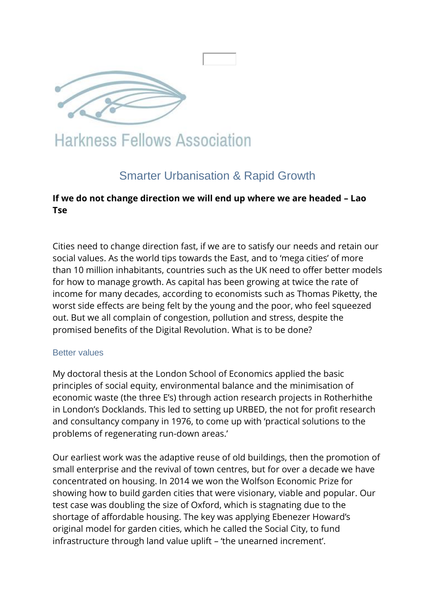

# **Harkness Fellows Association**

# Smarter Urbanisation & Rapid Growth

## **If we do not change direction we will end up where we are headed – Lao Tse**

Cities need to change direction fast, if we are to satisfy our needs and retain our social values. As the world tips towards the East, and to 'mega cities' of more than 10 million inhabitants, countries such as the UK need to offer better models for how to manage growth. As capital has been growing at twice the rate of income for many decades, according to economists such as Thomas Piketty, the worst side effects are being felt by the young and the poor, who feel squeezed out. But we all complain of congestion, pollution and stress, despite the promised benefits of the Digital Revolution. What is to be done?

#### Better values

My doctoral thesis at the London School of Economics applied the basic principles of social equity, environmental balance and the minimisation of economic waste (the three E's) through action research projects in Rotherhithe in London's Docklands. This led to setting up URBED, the not for profit research and consultancy company in 1976, to come up with 'practical solutions to the problems of regenerating run-down areas.'

Our earliest work was the adaptive reuse of old buildings, then the promotion of small enterprise and the revival of town centres, but for over a decade we have concentrated on housing. In 2014 we won the Wolfson Economic Prize for showing how to build garden cities that were visionary, viable and popular. Our test case was doubling the size of Oxford, which is stagnating due to the shortage of affordable housing. The key was applying Ebenezer Howard's original model for garden cities, which he called the Social City, to fund infrastructure through land value uplift – 'the unearned increment'.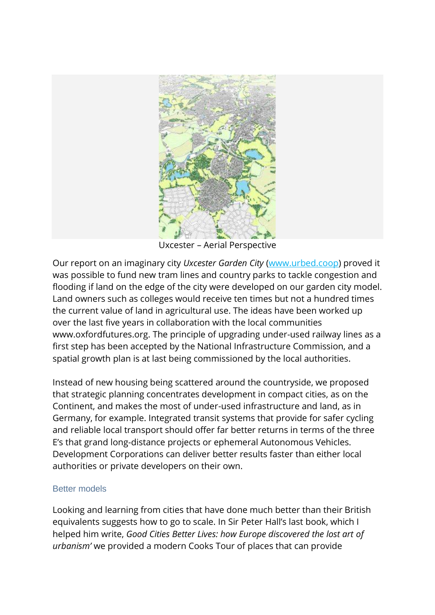

Uxcester – Aerial Perspective

Our report on an imaginary city *Uxcester Garden City* [\(www.urbed.coop\)](http://www.urbed.coop/) proved it was possible to fund new tram lines and country parks to tackle congestion and flooding if land on the edge of the city were developed on our garden city model. Land owners such as colleges would receive ten times but not a hundred times the current value of land in agricultural use. The ideas have been worked up over the last five years in collaboration with the local communities www.oxfordfutures.org. The principle of upgrading under-used railway lines as a first step has been accepted by the National Infrastructure Commission, and a spatial growth plan is at last being commissioned by the local authorities.

Instead of new housing being scattered around the countryside, we proposed that strategic planning concentrates development in compact cities, as on the Continent, and makes the most of under-used infrastructure and land, as in Germany, for example. Integrated transit systems that provide for safer cycling and reliable local transport should offer far better returns in terms of the three E's that grand long-distance projects or ephemeral Autonomous Vehicles. Development Corporations can deliver better results faster than either local authorities or private developers on their own.

#### Better models

Looking and learning from cities that have done much better than their British equivalents suggests how to go to scale. In Sir Peter Hall's last book, which I helped him write, *Good Cities Better Lives: how Europe discovered the lost art of urbanism'* we provided a modern Cooks Tour of places that can provide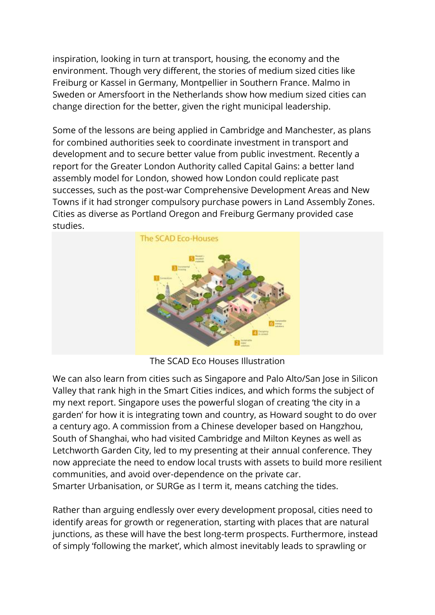inspiration, looking in turn at transport, housing, the economy and the environment. Though very different, the stories of medium sized cities like Freiburg or Kassel in Germany, Montpellier in Southern France. Malmo in Sweden or Amersfoort in the Netherlands show how medium sized cities can change direction for the better, given the right municipal leadership.

Some of the lessons are being applied in Cambridge and Manchester, as plans for combined authorities seek to coordinate investment in transport and development and to secure better value from public investment. Recently a report for the Greater London Authority called Capital Gains: a better land assembly model for London, showed how London could replicate past successes, such as the post-war Comprehensive Development Areas and New Towns if it had stronger compulsory purchase powers in Land Assembly Zones. Cities as diverse as Portland Oregon and Freiburg Germany provided case studies.



The SCAD Eco Houses Illustration

We can also learn from cities such as Singapore and Palo Alto/San Jose in Silicon Valley that rank high in the Smart Cities indices, and which forms the subject of my next report. Singapore uses the powerful slogan of creating 'the city in a garden' for how it is integrating town and country, as Howard sought to do over a century ago. A commission from a Chinese developer based on Hangzhou, South of Shanghai, who had visited Cambridge and Milton Keynes as well as Letchworth Garden City, led to my presenting at their annual conference. They now appreciate the need to endow local trusts with assets to build more resilient communities, and avoid over-dependence on the private car. Smarter Urbanisation, or SURGe as I term it, means catching the tides.

Rather than arguing endlessly over every development proposal, cities need to identify areas for growth or regeneration, starting with places that are natural junctions, as these will have the best long-term prospects. Furthermore, instead of simply 'following the market', which almost inevitably leads to sprawling or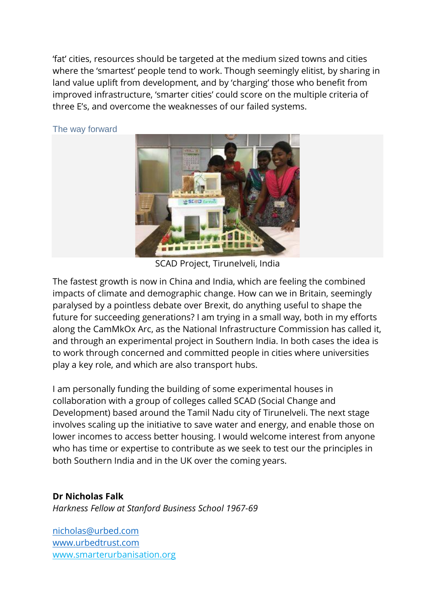'fat' cities, resources should be targeted at the medium sized towns and cities where the 'smartest' people tend to work. Though seemingly elitist, by sharing in land value uplift from development, and by 'charging' those who benefit from improved infrastructure, 'smarter cities' could score on the multiple criteria of three E's, and overcome the weaknesses of our failed systems.

The way forward



SCAD Project, Tirunelveli, India

The fastest growth is now in China and India, which are feeling the combined impacts of climate and demographic change. How can we in Britain, seemingly paralysed by a pointless debate over Brexit, do anything useful to shape the future for succeeding generations? I am trying in a small way, both in my efforts along the CamMkOx Arc, as the National Infrastructure Commission has called it, and through an experimental project in Southern India. In both cases the idea is to work through concerned and committed people in cities where universities play a key role, and which are also transport hubs.

I am personally funding the building of some experimental houses in collaboration with a group of colleges called SCAD (Social Change and Development) based around the Tamil Nadu city of Tirunelveli. The next stage involves scaling up the initiative to save water and energy, and enable those on lower incomes to access better housing. I would welcome interest from anyone who has time or expertise to contribute as we seek to test our the principles in both Southern India and in the UK over the coming years.

### **Dr Nicholas Falk**

*Harkness Fellow at Stanford Business School 1967-69*

[nicholas@urbed.com](mailto:nicholas@urbed.com) [www.urbedtrust.com](http://www.urbedtrust.com/) [www.smarterurbanisation.org](http://www.smarterurbanisation.org/)